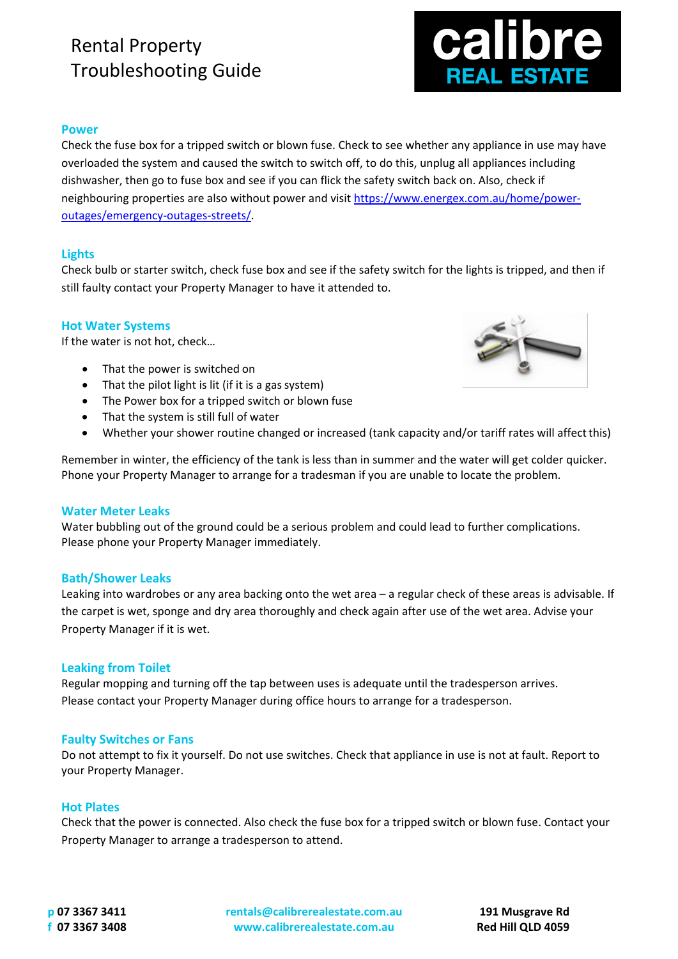# Rental Property Troubleshooting Guide



## **Power**

Check the fuse box for a tripped switch or blown fuse. Check to see whether any appliance in use may have overloaded the system and caused the switch to switch off, to do this, unplug all appliances including dishwasher, then go to fuse box and see if you can flick the safety switch back on. Also, check if neighbouring properties are also without power and visit [https://www.energex.com.au/home/power](https://www.energex.com.au/home/power-outages/emergency-outages-streets/)[outages/emergency-outages-streets/.](https://www.energex.com.au/home/power-outages/emergency-outages-streets/)

## **Lights**

Check bulb or starter switch, check fuse box and see if the safety switch for the lights is tripped, and then if still faulty contact your Property Manager to have it attended to.

## **Hot Water Systems**

If the water is not hot, check…

- That the power is switched on
- That the pilot light is lit (if it is a gas system)
- The Power box for a tripped switch or blown fuse
- That the system is still full of water
- Whether your shower routine changed or increased (tank capacity and/or tariff rates will affectthis)

Remember in winter, the efficiency of the tank is less than in summer and the water will get colder quicker. Phone your Property Manager to arrange for a tradesman if you are unable to locate the problem.

#### **Water Meter Leaks**

Water bubbling out of the ground could be a serious problem and could lead to further complications. Please phone your Property Manager immediately.

## **Bath/Shower Leaks**

Leaking into wardrobes or any area backing onto the wet area – a regular check of these areas is advisable. If the carpet is wet, sponge and dry area thoroughly and check again after use of the wet area. Advise your Property Manager if it is wet.

## **Leaking from Toilet**

Regular mopping and turning off the tap between uses is adequate until the tradesperson arrives. Please contact your Property Manager during office hours to arrange for a tradesperson.

#### **Faulty Switches or Fans**

Do not attempt to fix it yourself. Do not use switches. Check that appliance in use is not at fault. Report to your Property Manager.

## **Hot Plates**

Check that the power is connected. Also check the fuse box for a tripped switch or blown fuse. Contact your Property Manager to arrange a tradesperson to attend.

**p 07 3367 3411 [rentals@calibrerealestate.com.au](mailto:rentals@calibrerealestate.com.au) 191 Musgrave Rd f 07 3367 3408 www.calibrerealestate.com.au Red Hill QLD 4059**